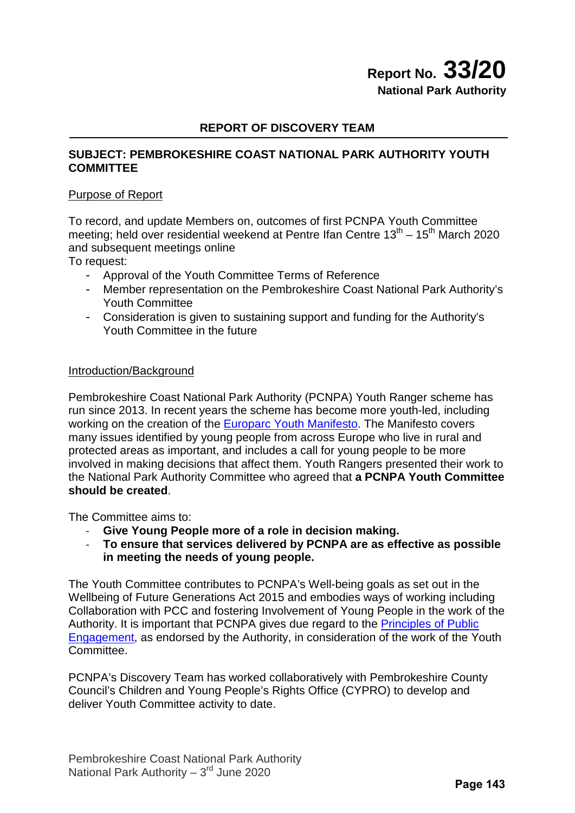# **Report No. 33/20 National Park Authority**

### **REPORT OF DISCOVERY TEAM**

### **SUBJECT: PEMBROKESHIRE COAST NATIONAL PARK AUTHORITY YOUTH COMMITTEE**

### Purpose of Report

To record, and update Members on, outcomes of first PCNPA Youth Committee meeting; held over residential weekend at Pentre Ifan Centre  $13<sup>th</sup> - 15<sup>th</sup>$  March 2020 and subsequent meetings online

To request:

- Approval of the Youth Committee Terms of Reference
- Member representation on the Pembrokeshire Coast National Park Authority's Youth Committee
- Consideration is given to sustaining support and funding for the Authority's Youth Committee in the future

### Introduction/Background

Pembrokeshire Coast National Park Authority (PCNPA) Youth Ranger scheme has run since 2013. In recent years the scheme has become more youth-led, including working on the creation of the **Europarc Youth Manifesto**. The Manifesto covers many issues identified by young people from across Europe who live in rural and protected areas as important, and includes a call for young people to be more involved in making decisions that affect them. Youth Rangers presented their work to the National Park Authority Committee who agreed that **a PCNPA Youth Committee should be created**.

The Committee aims to:

- **Give Young People more of a role in decision making.**
- **To ensure that services delivered by PCNPA are as effective as possible in meeting the needs of young people.**

The Youth Committee contributes to PCNPA's Well-being goals as set out in the Wellbeing of Future Generations Act 2015 and embodies ways of working including Collaboration with PCC and fostering Involvement of Young People in the work of the Authority. It is important that PCNPA gives due regard to the **Principles of Public** [Engagement,](https://participation.cymru/en/principles/) as endorsed by the Authority, in consideration of the work of the Youth Committee.

PCNPA's Discovery Team has worked collaboratively with Pembrokeshire County Council's Children and Young People's Rights Office (CYPRO) to develop and deliver Youth Committee activity to date.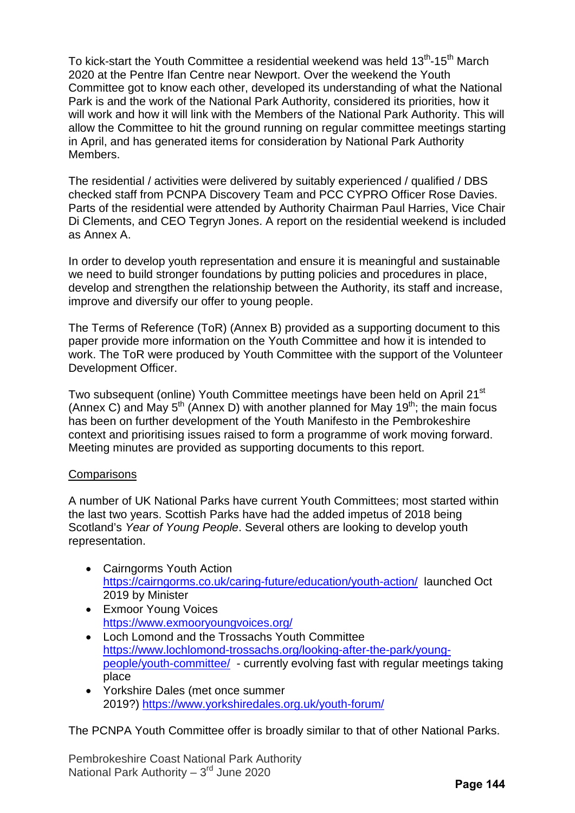To kick-start the Youth Committee a residential weekend was held 13<sup>th</sup>-15<sup>th</sup> March 2020 at the Pentre Ifan Centre near Newport. Over the weekend the Youth Committee got to know each other, developed its understanding of what the National Park is and the work of the National Park Authority, considered its priorities, how it will work and how it will link with the Members of the National Park Authority. This will allow the Committee to hit the ground running on regular committee meetings starting in April, and has generated items for consideration by National Park Authority Members.

The residential / activities were delivered by suitably experienced / qualified / DBS checked staff from PCNPA Discovery Team and PCC CYPRO Officer Rose Davies. Parts of the residential were attended by Authority Chairman Paul Harries, Vice Chair Di Clements, and CEO Tegryn Jones. A report on the residential weekend is included as Annex A.

In order to develop youth representation and ensure it is meaningful and sustainable we need to build stronger foundations by putting policies and procedures in place, develop and strengthen the relationship between the Authority, its staff and increase, improve and diversify our offer to young people.

The Terms of Reference (ToR) (Annex B) provided as a supporting document to this paper provide more information on the Youth Committee and how it is intended to work. The ToR were produced by Youth Committee with the support of the Volunteer Development Officer.

Two subsequent (online) Youth Committee meetings have been held on April 21<sup>st</sup> (Annex C) and May  $5<sup>th</sup>$  (Annex D) with another planned for May 19<sup>th</sup>; the main focus has been on further development of the Youth Manifesto in the Pembrokeshire context and prioritising issues raised to form a programme of work moving forward. Meeting minutes are provided as supporting documents to this report.

### **Comparisons**

A number of UK National Parks have current Youth Committees; most started within the last two years. Scottish Parks have had the added impetus of 2018 being Scotland's *Year of Young People*. Several others are looking to develop youth representation.

- Cairngorms Youth Action <https://cairngorms.co.uk/caring-future/education/youth-action/>launched Oct 2019 by Minister
- Exmoor Young Voices <https://www.exmooryoungvoices.org/>
- Loch Lomond and the Trossachs Youth Committee [https://www.lochlomond-trossachs.org/looking-after-the-park/young](https://www.lochlomond-trossachs.org/looking-after-the-park/young-people/youth-committee/)[people/youth-committee/](https://www.lochlomond-trossachs.org/looking-after-the-park/young-people/youth-committee/) - currently evolving fast with regular meetings taking place
- Yorkshire Dales (met once summer 2019?) <https://www.yorkshiredales.org.uk/youth-forum/>

The PCNPA Youth Committee offer is broadly similar to that of other National Parks.

Pembrokeshire Coast National Park Authority National Park Authority –  $3<sup>rd</sup>$  June 2020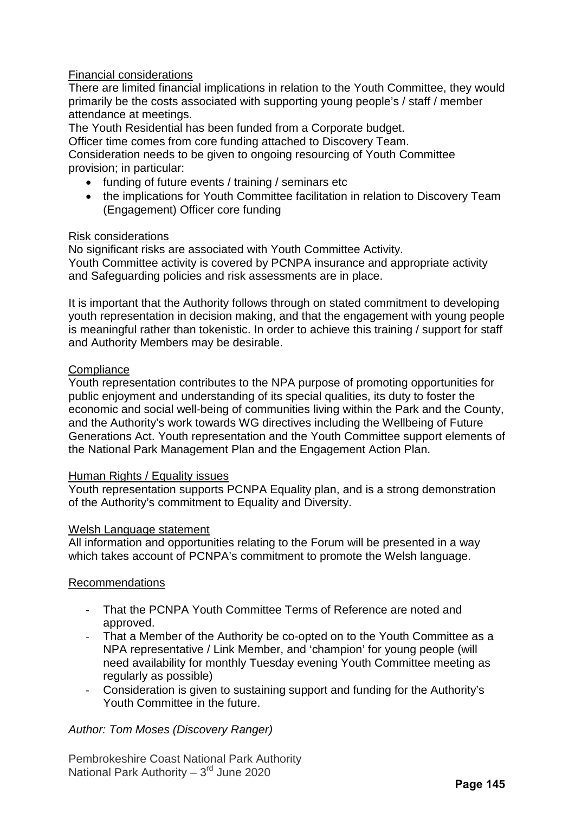### Financial considerations

There are limited financial implications in relation to the Youth Committee, they would primarily be the costs associated with supporting young people's / staff / member attendance at meetings.

The Youth Residential has been funded from a Corporate budget.

Officer time comes from core funding attached to Discovery Team.

Consideration needs to be given to ongoing resourcing of Youth Committee provision; in particular:

- funding of future events / training / seminars etc
- the implications for Youth Committee facilitation in relation to Discovery Team (Engagement) Officer core funding

### Risk considerations

No significant risks are associated with Youth Committee Activity. Youth Committee activity is covered by PCNPA insurance and appropriate activity and Safeguarding policies and risk assessments are in place.

It is important that the Authority follows through on stated commitment to developing youth representation in decision making, and that the engagement with young people is meaningful rather than tokenistic. In order to achieve this training / support for staff and Authority Members may be desirable.

### **Compliance**

Youth representation contributes to the NPA purpose of promoting opportunities for public enjoyment and understanding of its special qualities, its duty to foster the economic and social well-being of communities living within the Park and the County, and the Authority's work towards WG directives including the Wellbeing of Future Generations Act. Youth representation and the Youth Committee support elements of the National Park Management Plan and the Engagement Action Plan.

### Human Rights / Equality issues

Youth representation supports PCNPA Equality plan, and is a strong demonstration of the Authority's commitment to Equality and Diversity.

### Welsh Language statement

All information and opportunities relating to the Forum will be presented in a way which takes account of PCNPA's commitment to promote the Welsh language.

### Recommendations

- That the PCNPA Youth Committee Terms of Reference are noted and approved.
- That a Member of the Authority be co-opted on to the Youth Committee as a NPA representative / Link Member, and 'champion' for young people (will need availability for monthly Tuesday evening Youth Committee meeting as regularly as possible)
- Consideration is given to sustaining support and funding for the Authority's Youth Committee in the future.

### *Author: Tom Moses (Discovery Ranger)*

Pembrokeshire Coast National Park Authority National Park Authority –  $3<sup>rd</sup>$  June 2020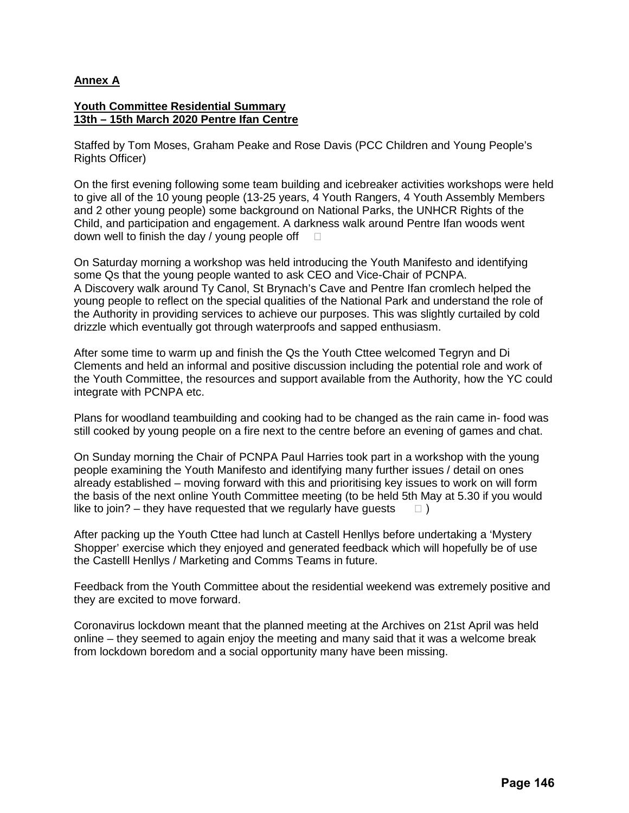### **Annex A**

#### **Youth Committee Residential Summary 13th – 15th March 2020 Pentre Ifan Centre**

Staffed by Tom Moses, Graham Peake and Rose Davis (PCC Children and Young People's Rights Officer)

On the first evening following some team building and icebreaker activities workshops were held to give all of the 10 young people (13-25 years, 4 Youth Rangers, 4 Youth Assembly Members and 2 other young people) some background on National Parks, the UNHCR Rights of the Child, and participation and engagement. A darkness walk around Pentre Ifan woods went down well to finish the day / young people off  $\square$ 

On Saturday morning a workshop was held introducing the Youth Manifesto and identifying some Qs that the young people wanted to ask CEO and Vice-Chair of PCNPA. A Discovery walk around Ty Canol, St Brynach's Cave and Pentre Ifan cromlech helped the young people to reflect on the special qualities of the National Park and understand the role of the Authority in providing services to achieve our purposes. This was slightly curtailed by cold drizzle which eventually got through waterproofs and sapped enthusiasm.

After some time to warm up and finish the Qs the Youth Cttee welcomed Tegryn and Di Clements and held an informal and positive discussion including the potential role and work of the Youth Committee, the resources and support available from the Authority, how the YC could integrate with PCNPA etc.

Plans for woodland teambuilding and cooking had to be changed as the rain came in- food was still cooked by young people on a fire next to the centre before an evening of games and chat.

On Sunday morning the Chair of PCNPA Paul Harries took part in a workshop with the young people examining the Youth Manifesto and identifying many further issues / detail on ones already established – moving forward with this and prioritising key issues to work on will form the basis of the next online Youth Committee meeting (to be held 5th May at 5.30 if you would like to join? – they have requested that we regularly have guests  $\Box$ )

After packing up the Youth Cttee had lunch at Castell Henllys before undertaking a 'Mystery Shopper' exercise which they enjoyed and generated feedback which will hopefully be of use the Castelll Henllys / Marketing and Comms Teams in future.

Feedback from the Youth Committee about the residential weekend was extremely positive and they are excited to move forward.

Coronavirus lockdown meant that the planned meeting at the Archives on 21st April was held online – they seemed to again enjoy the meeting and many said that it was a welcome break from lockdown boredom and a social opportunity many have been missing.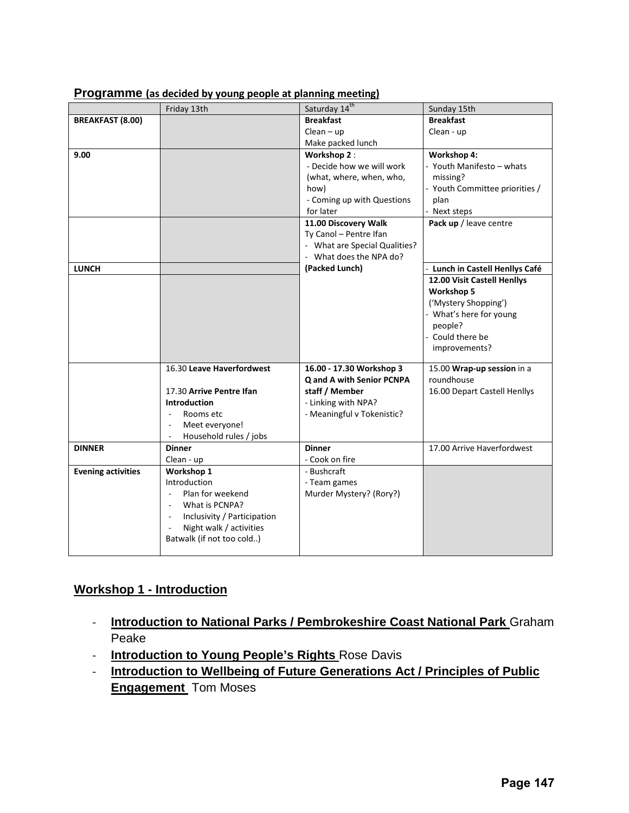|                           | Friday 13th                       | Saturday 14th                    | Sunday 15th                     |
|---------------------------|-----------------------------------|----------------------------------|---------------------------------|
| <b>BREAKFAST (8.00)</b>   |                                   | <b>Breakfast</b>                 | <b>Breakfast</b>                |
|                           |                                   | $Clean - up$                     | Clean - up                      |
|                           |                                   | Make packed lunch                |                                 |
| 9.00                      |                                   | Workshop 2:                      | Workshop 4:                     |
|                           |                                   | - Decide how we will work        | - Youth Manifesto - whats       |
|                           |                                   | (what, where, when, who,         | missing?                        |
|                           |                                   | how)                             | - Youth Committee priorities /  |
|                           |                                   | - Coming up with Questions       | plan                            |
|                           |                                   | for later                        | - Next steps                    |
|                           |                                   | 11.00 Discovery Walk             | Pack up / leave centre          |
|                           |                                   | Ty Canol - Pentre Ifan           |                                 |
|                           |                                   | - What are Special Qualities?    |                                 |
|                           |                                   | - What does the NPA do?          |                                 |
| <b>LUNCH</b>              |                                   | (Packed Lunch)                   | - Lunch in Castell Henllys Café |
|                           |                                   |                                  | 12.00 Visit Castell Henllys     |
|                           |                                   |                                  | <b>Workshop 5</b>               |
|                           |                                   |                                  | ('Mystery Shopping')            |
|                           |                                   |                                  | - What's here for young         |
|                           |                                   |                                  | people?                         |
|                           |                                   |                                  | - Could there be                |
|                           |                                   |                                  | improvements?                   |
|                           | 16.30 Leave Haverfordwest         | 16.00 - 17.30 Workshop 3         | 15.00 Wrap-up session in a      |
|                           |                                   | <b>Q and A with Senior PCNPA</b> | roundhouse                      |
|                           | 17.30 Arrive Pentre Ifan          | staff / Member                   | 16.00 Depart Castell Henllys    |
|                           | <b>Introduction</b>               | - Linking with NPA?              |                                 |
|                           | Rooms etc<br>$\blacksquare$       | - Meaningful v Tokenistic?       |                                 |
|                           | Meet everyone!<br>٠               |                                  |                                 |
|                           | Household rules / jobs            |                                  |                                 |
| <b>DINNER</b>             | <b>Dinner</b>                     | <b>Dinner</b>                    | 17.00 Arrive Haverfordwest      |
|                           | Clean - up                        | - Cook on fire                   |                                 |
| <b>Evening activities</b> | Workshop 1                        | - Bushcraft                      |                                 |
|                           | Introduction                      | - Team games                     |                                 |
|                           | Plan for weekend<br>$\omega$      | Murder Mystery? (Rory?)          |                                 |
|                           | What is PCNPA?                    |                                  |                                 |
|                           | Inclusivity / Participation<br>÷. |                                  |                                 |
|                           | Night walk / activities           |                                  |                                 |
|                           | Batwalk (if not too cold)         |                                  |                                 |
|                           |                                   |                                  |                                 |

### **Programme (as decided by young people at planning meeting)**

# **Workshop 1 - Introduction**

- **Introduction to National Parks / Pembrokeshire Coast National Park** Graham Peake
- **Introduction to Young People's Rights** Rose Davis
- **Introduction to Wellbeing of Future Generations Act / Principles of Public Engagement** Tom Moses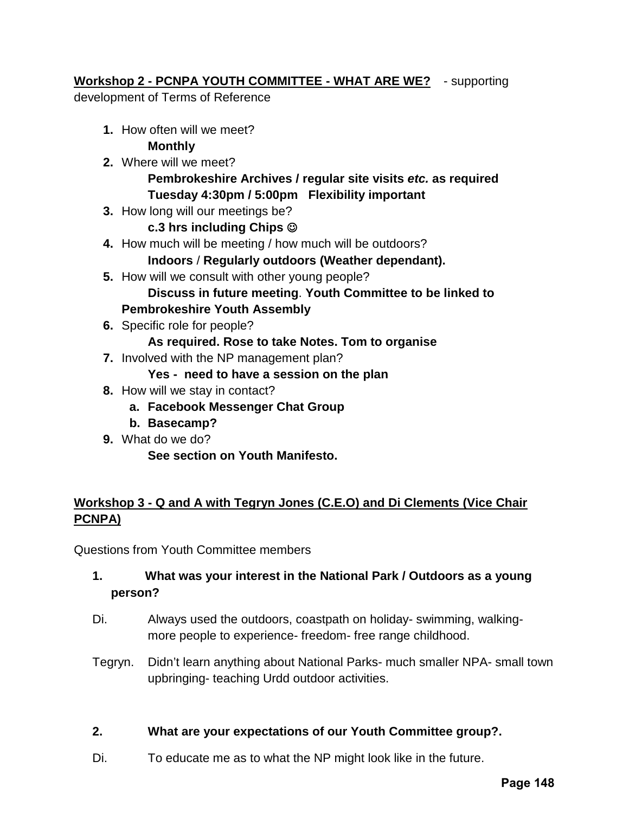# **Workshop 2 - PCNPA YOUTH COMMITTEE - WHAT ARE WE?** - supporting

development of Terms of Reference

**1.** How often will we meet?

## **Monthly**

- **2.** Where will we meet? **Pembrokeshire Archives / regular site visits** *etc.* **as required Tuesday 4:30pm / 5:00pm Flexibility important**
- **3.** How long will our meetings be?

# **c.3 hrs including Chips**

- **4.** How much will be meeting / how much will be outdoors?
	- **Indoors** / **Regularly outdoors (Weather dependant).**
- **5.** How will we consult with other young people? **Discuss in future meeting**. **Youth Committee to be linked to Pembrokeshire Youth Assembly**
- **6.** Specific role for people?

## **As required. Rose to take Notes. Tom to organise**

- **7.** Involved with the NP management plan?
	- **Yes need to have a session on the plan**
- **8.** How will we stay in contact?
	- **a. Facebook Messenger Chat Group**
	- **b. Basecamp?**
- **9.** What do we do?
	- **See section on Youth Manifesto.**

# **Workshop 3 - Q and A with Tegryn Jones (C.E.O) and Di Clements (Vice Chair PCNPA)**

Questions from Youth Committee members

# **1. What was your interest in the National Park / Outdoors as a young person?**

- Di. Always used the outdoors, coastpath on holiday- swimming, walkingmore people to experience- freedom- free range childhood.
- Tegryn. Didn't learn anything about National Parks- much smaller NPA- small town upbringing- teaching Urdd outdoor activities.

# **2. What are your expectations of our Youth Committee group?.**

Di. To educate me as to what the NP might look like in the future.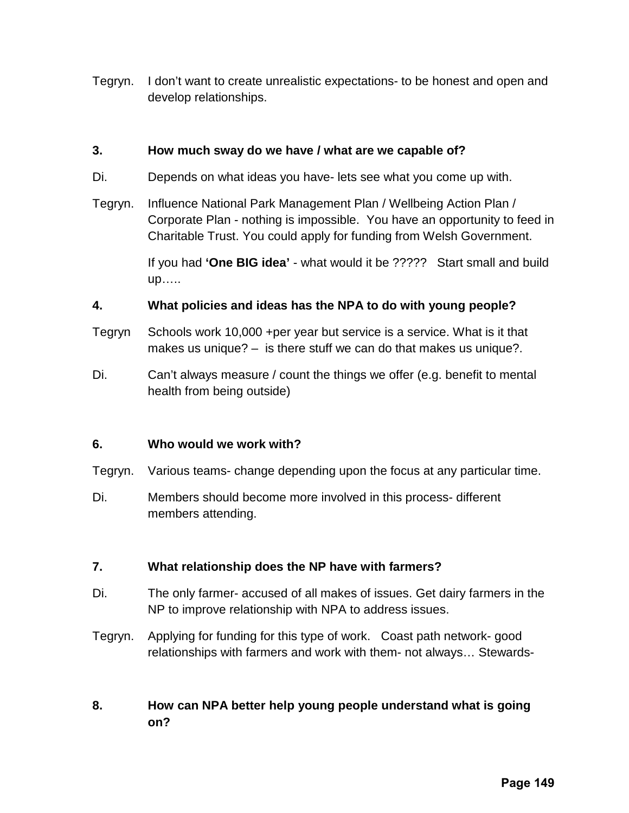Tegryn. I don't want to create unrealistic expectations- to be honest and open and develop relationships.

### **3. How much sway do we have / what are we capable of?**

- Di. Depends on what ideas you have- lets see what you come up with.
- Tegryn. Influence National Park Management Plan / Wellbeing Action Plan / Corporate Plan - nothing is impossible. You have an opportunity to feed in Charitable Trust. You could apply for funding from Welsh Government.

If you had **'One BIG idea'** - what would it be ????? Start small and build up…..

### **4. What policies and ideas has the NPA to do with young people?**

- Tegryn Schools work 10,000 +per year but service is a service. What is it that makes us unique? – is there stuff we can do that makes us unique?.
- Di. Can't always measure / count the things we offer (e.g. benefit to mental health from being outside)

### **6. Who would we work with?**

- Tegryn. Various teams- change depending upon the focus at any particular time.
- Di. Members should become more involved in this process- different members attending.

## **7. What relationship does the NP have with farmers?**

- Di. The only farmer- accused of all makes of issues. Get dairy farmers in the NP to improve relationship with NPA to address issues.
- Tegryn. Applying for funding for this type of work. Coast path network- good relationships with farmers and work with them- not always… Stewards-

## **8. How can NPA better help young people understand what is going on?**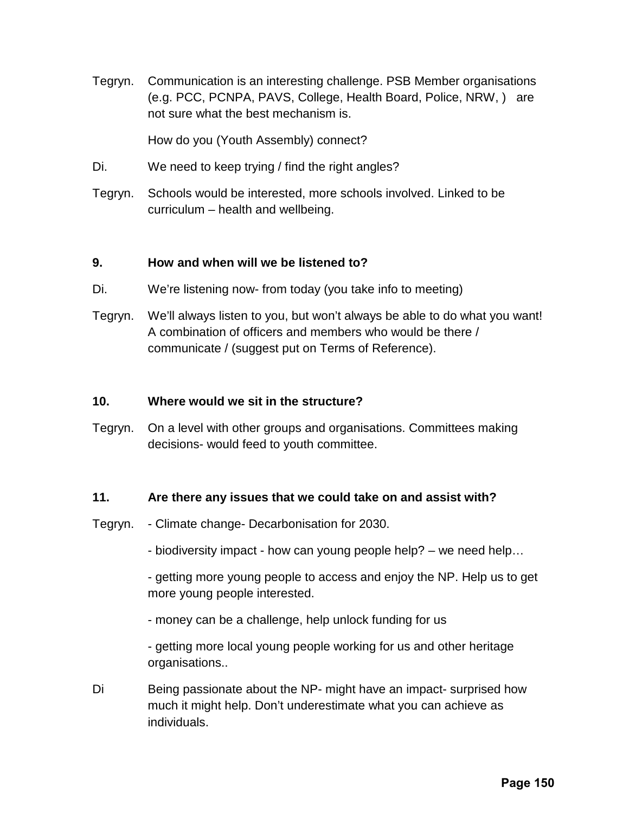Tegryn. Communication is an interesting challenge. PSB Member organisations (e.g. PCC, PCNPA, PAVS, College, Health Board, Police, NRW, ) are not sure what the best mechanism is.

How do you (Youth Assembly) connect?

- Di. We need to keep trying / find the right angles?
- Tegryn. Schools would be interested, more schools involved. Linked to be curriculum – health and wellbeing.

### **9. How and when will we be listened to?**

- Di. We're listening now- from today (you take info to meeting)
- Tegryn. We'll always listen to you, but won't always be able to do what you want! A combination of officers and members who would be there / communicate / (suggest put on Terms of Reference).

### **10. Where would we sit in the structure?**

Tegryn. On a level with other groups and organisations. Committees making decisions- would feed to youth committee.

## **11. Are there any issues that we could take on and assist with?**

- Tegryn. Climate change- Decarbonisation for 2030.
	- biodiversity impact how can young people help? we need help…

- getting more young people to access and enjoy the NP. Help us to get more young people interested.

- money can be a challenge, help unlock funding for us

- getting more local young people working for us and other heritage organisations..

Di Being passionate about the NP- might have an impact- surprised how much it might help. Don't underestimate what you can achieve as individuals.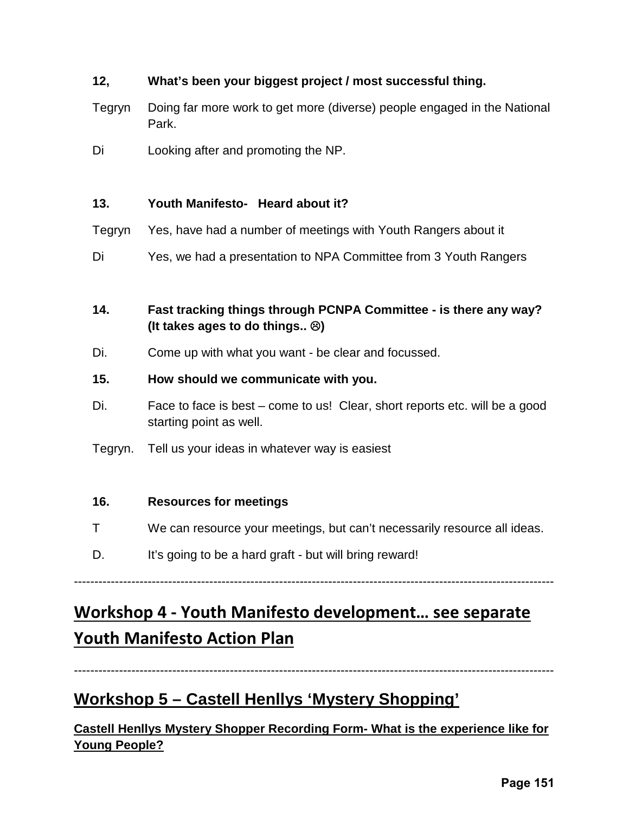# **12, What's been your biggest project / most successful thing.**

- Tegryn Doing far more work to get more (diverse) people engaged in the National Park.
- Di Looking after and promoting the NP.

### **13. Youth Manifesto- Heard about it?**

- Tegryn Yes, have had a number of meetings with Youth Rangers about it
- Di Yes, we had a presentation to NPA Committee from 3 Youth Rangers
- **14. Fast tracking things through PCNPA Committee is there any way? (It takes ages to do things.. )**
- Di. Come up with what you want be clear and focussed.

### **15. How should we communicate with you.**

- Di. Face to face is best come to us! Clear, short reports etc. will be a good starting point as well.
- Tegryn. Tell us your ideas in whatever way is easiest

### **16. Resources for meetings**

- T We can resource your meetings, but can't necessarily resource all ideas.
- D. It's going to be a hard graft but will bring reward!

---------------------------------------------------------------------------------------------------------------------

# **Workshop 4 - Youth Manifesto development… see separate Youth Manifesto Action Plan**

---------------------------------------------------------------------------------------------------------------------

# **Workshop 5 – Castell Henllys 'Mystery Shopping'**

**Castell Henllys Mystery Shopper Recording Form- What is the experience like for Young People?**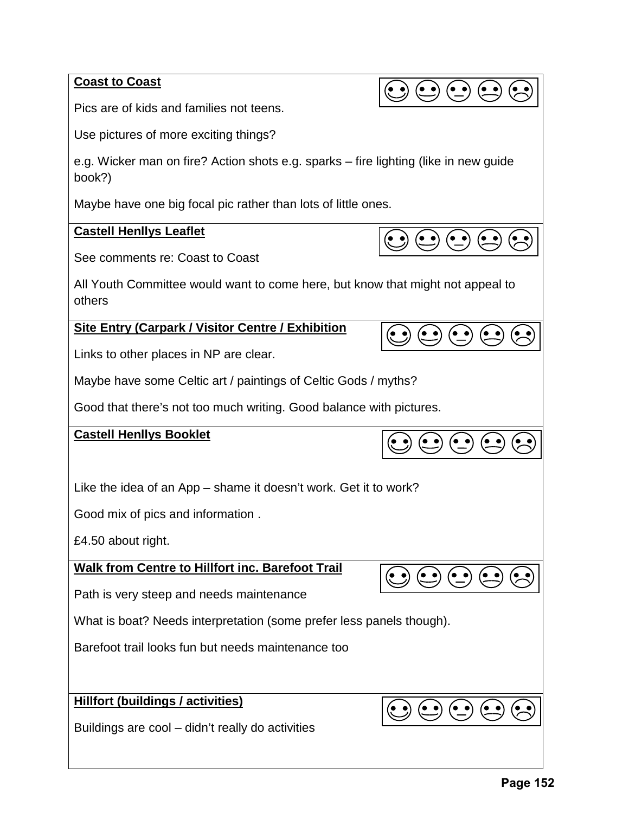**Coast to Coast**

Pics are of kids and families not teens.

Use pictures of more exciting things?

e.g. Wicker man on fire? Action shots e.g. sparks – fire lighting (like in new guide book?)

 $\bigodot$   $\bigodot$   $\bigodot$   $\bigodot$ 

 $\left(\begin{matrix} \bullet & \bullet \\ -\end{matrix}\right)$ 

 $\left( \bullet\right)$   $\bullet$ 

 $(\bullet\ \bullet)$ 

 $\left( \bullet \bullet \right)$ 

 $(\sim$ 

Maybe have one big focal pic rather than lots of little ones.

### **Castell Henllys Leaflet**

See comments re: Coast to Coast

All Youth Committee would want to come here, but know that might not appeal to others

**Site Entry (Carpark / Visitor Centre / Exhibition**

Links to other places in NP are clear.

Maybe have some Celtic art / paintings of Celtic Gods / myths?

Good that there's not too much writing. Good balance with pictures.

### **Castell Henllys Booklet**

Like the idea of an App – shame it doesn't work. Get it to work?

Good mix of pics and information .

£4.50 about right.

**Walk from Centre to Hillfort inc. Barefoot Trail**

Path is very steep and needs maintenance

What is boat? Needs interpretation (some prefer less panels though).

Barefoot trail looks fun but needs maintenance too

**Hillfort (buildings / activities)**

Buildings are cool – didn't really do activities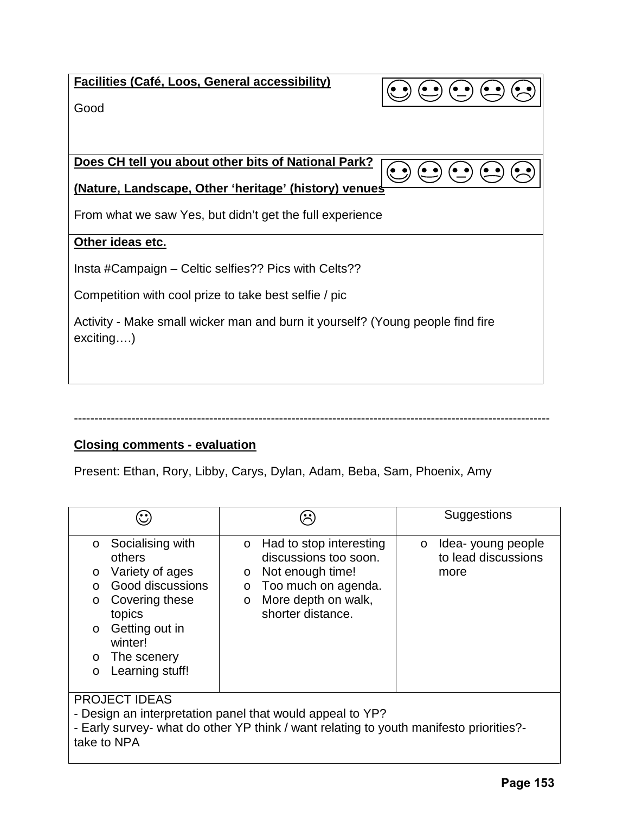| <b>Facilities (Café, Loos, General accessibility)</b><br>$\left(\begin{matrix} \bullet & \bullet \\ \bullet & \end{matrix}\right) \left(\begin{matrix} \bullet & \bullet \\ \bullet & \end{matrix}\right)$<br>Good |
|--------------------------------------------------------------------------------------------------------------------------------------------------------------------------------------------------------------------|
| Does CH tell you about other bits of National Park?<br>(Nature, Landscape, Other 'heritage' (history) venues<br>From what we saw Yes, but didn't get the full experience                                           |
| Other ideas etc.<br>Insta #Campaign – Celtic selfies?? Pics with Celts??                                                                                                                                           |
| Competition with cool prize to take best selfie / pic<br>Activity - Make small wicker man and burn it yourself? (Young people find fire<br>exciting)                                                               |
|                                                                                                                                                                                                                    |

## **Closing comments - evaluation**

Present: Ethan, Rory, Libby, Carys, Dylan, Adam, Beba, Sam, Phoenix, Amy

--------------------------------------------------------------------------------------------------------------------

|                                                                                                                                                                                                                                   | $\ddot{\cdot}$                                                                                                                                                                    | Suggestions                                                 |  |
|-----------------------------------------------------------------------------------------------------------------------------------------------------------------------------------------------------------------------------------|-----------------------------------------------------------------------------------------------------------------------------------------------------------------------------------|-------------------------------------------------------------|--|
| Socialising with<br>$\circ$<br>others<br>Variety of ages<br>$\circ$<br>Good discussions<br>$\Omega$<br>Covering these<br>$\circ$<br>topics<br>Getting out in<br>$\circ$<br>winter!<br>o The scenery<br>Learning stuff!<br>$\circ$ | Had to stop interesting<br>$\Omega$<br>discussions too soon.<br>Not enough time!<br>$\circ$<br>$\circ$ Too much on agenda.<br>More depth on walk,<br>$\circ$<br>shorter distance. | Idea-young people<br>$\circ$<br>to lead discussions<br>more |  |
| <b>PROJECT IDEAS</b><br>- Design an interpretation panel that would appeal to YP?<br>- Early survey- what do other YP think / want relating to youth manifesto priorities?-<br>take to NPA                                        |                                                                                                                                                                                   |                                                             |  |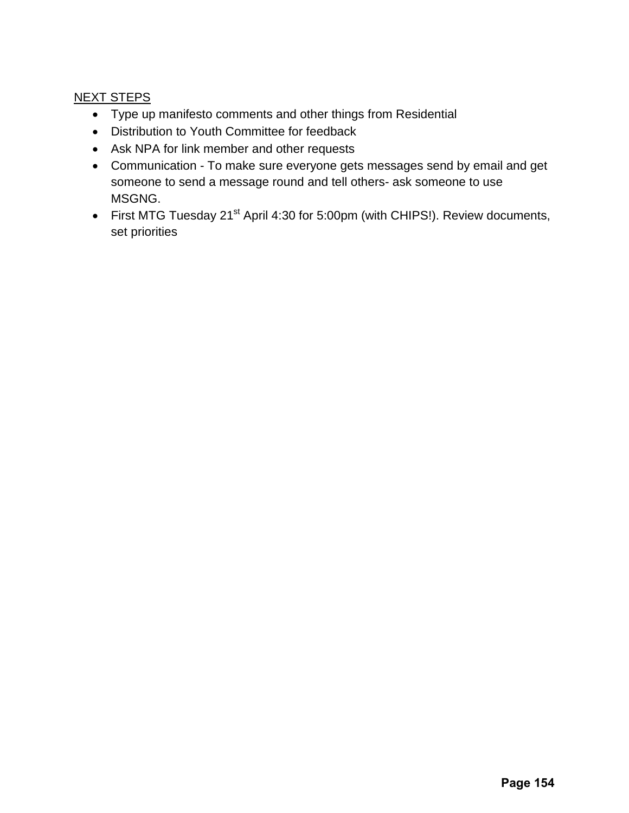# NEXT STEPS

- Type up manifesto comments and other things from Residential
- Distribution to Youth Committee for feedback
- Ask NPA for link member and other requests
- Communication To make sure everyone gets messages send by email and get someone to send a message round and tell others- ask someone to use MSGNG.
- First MTG Tuesday 21<sup>st</sup> April 4:30 for 5:00pm (with CHIPS!). Review documents, set priorities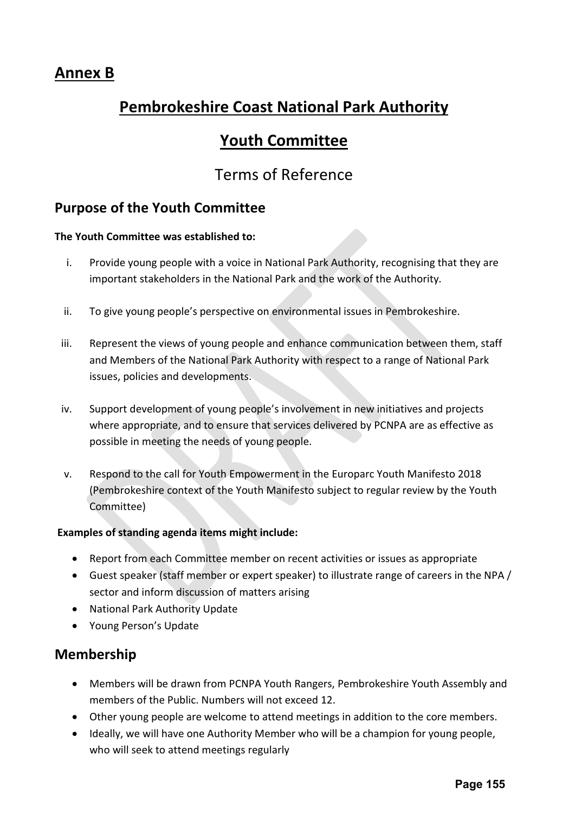# **Annex B**

# **Pembrokeshire Coast National Park Authority**

# **Youth Committee**

# Terms of Reference

# **Purpose of the Youth Committee**

### **The Youth Committee was established to:**

- i. Provide young people with a voice in National Park Authority, recognising that they are important stakeholders in the National Park and the work of the Authority.
- ii. To give young people's perspective on environmental issues in Pembrokeshire.
- iii. Represent the views of young people and enhance communication between them, staff and Members of the National Park Authority with respect to a range of National Park issues, policies and developments.
- iv. Support development of young people's involvement in new initiatives and projects where appropriate, and to ensure that services delivered by PCNPA are as effective as possible in meeting the needs of young people.
- v. Respond to the call for Youth Empowerment in the Europarc Youth Manifesto 2018 (Pembrokeshire context of the Youth Manifesto subject to regular review by the Youth Committee)

### **Examples of standing agenda items might include:**

- Report from each Committee member on recent activities or issues as appropriate
- Guest speaker (staff member or expert speaker) to illustrate range of careers in the NPA / sector and inform discussion of matters arising
- National Park Authority Update
- Young Person's Update

# **Membership**

- Members will be drawn from PCNPA Youth Rangers, Pembrokeshire Youth Assembly and members of the Public. Numbers will not exceed 12.
- Other young people are welcome to attend meetings in addition to the core members.
- Ideally, we will have one Authority Member who will be a champion for young people, who will seek to attend meetings regularly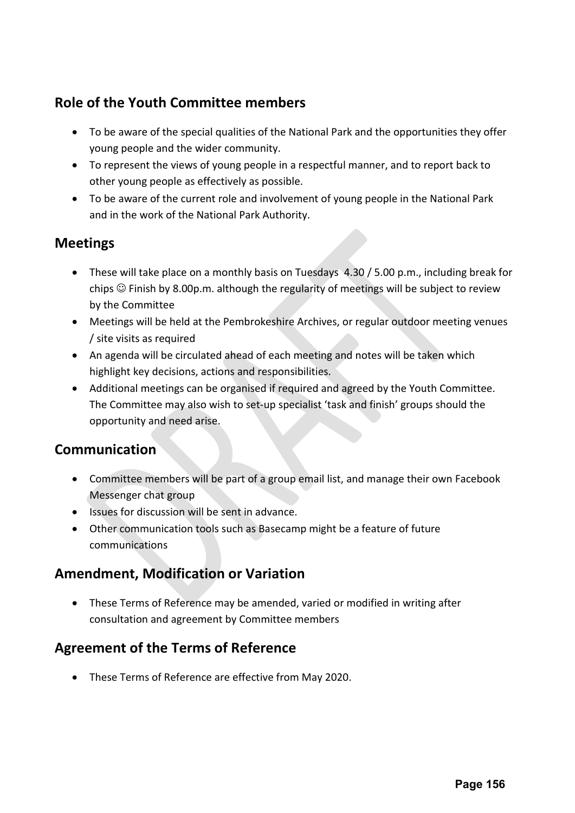# **Role of the Youth Committee members**

- To be aware of the special qualities of the National Park and the opportunities they offer young people and the wider community.
- To represent the views of young people in a respectful manner, and to report back to other young people as effectively as possible.
- To be aware of the current role and involvement of young people in the National Park and in the work of the National Park Authority.

# **Meetings**

- These will take place on a monthly basis on Tuesdays 4.30 / 5.00 p.m., including break for chips  $\odot$  Finish by 8.00p.m. although the regularity of meetings will be subject to review by the Committee
- Meetings will be held at the Pembrokeshire Archives, or regular outdoor meeting venues / site visits as required
- An agenda will be circulated ahead of each meeting and notes will be taken which highlight key decisions, actions and responsibilities.
- Additional meetings can be organised if required and agreed by the Youth Committee. The Committee may also wish to set-up specialist 'task and finish' groups should the opportunity and need arise.

# **Communication**

- Committee members will be part of a group email list, and manage their own Facebook Messenger chat group
- Issues for discussion will be sent in advance.
- Other communication tools such as Basecamp might be a feature of future communications

# **Amendment, Modification or Variation**

• These Terms of Reference may be amended, varied or modified in writing after consultation and agreement by Committee members

# **Agreement of the Terms of Reference**

• These Terms of Reference are effective from May 2020.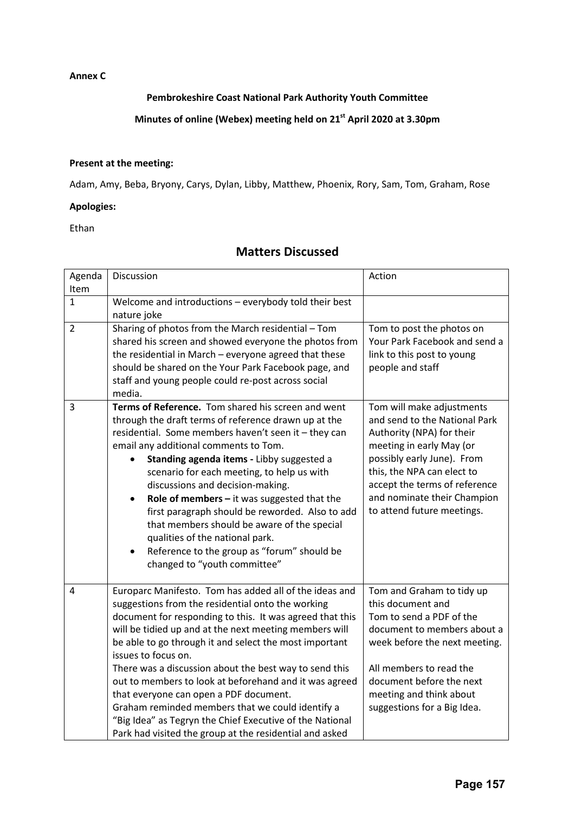#### **Annex C**

### **Pembrokeshire Coast National Park Authority Youth Committee**

# **Minutes of online (Webex) meeting held on 21st April 2020 at 3.30pm**

#### **Present at the meeting:**

Adam, Amy, Beba, Bryony, Carys, Dylan, Libby, Matthew, Phoenix, Rory, Sam, Tom, Graham, Rose

### **Apologies:**

Ethan

### **Matters Discussed**

| Agenda         | Discussion                                                                                                   | Action                                                     |
|----------------|--------------------------------------------------------------------------------------------------------------|------------------------------------------------------------|
| Item           |                                                                                                              |                                                            |
| $\mathbf{1}$   | Welcome and introductions - everybody told their best                                                        |                                                            |
|                | nature joke                                                                                                  |                                                            |
| $\overline{2}$ | Sharing of photos from the March residential - Tom                                                           | Tom to post the photos on                                  |
|                | shared his screen and showed everyone the photos from                                                        | Your Park Facebook and send a                              |
|                | the residential in March - everyone agreed that these                                                        | link to this post to young                                 |
|                | should be shared on the Your Park Facebook page, and                                                         | people and staff                                           |
|                | staff and young people could re-post across social                                                           |                                                            |
|                | media.                                                                                                       |                                                            |
| 3              | Terms of Reference. Tom shared his screen and went                                                           | Tom will make adjustments                                  |
|                | through the draft terms of reference drawn up at the<br>residential. Some members haven't seen it - they can | and send to the National Park<br>Authority (NPA) for their |
|                | email any additional comments to Tom.                                                                        | meeting in early May (or                                   |
|                | Standing agenda items - Libby suggested a                                                                    | possibly early June). From                                 |
|                | scenario for each meeting, to help us with                                                                   | this, the NPA can elect to                                 |
|                | discussions and decision-making.                                                                             | accept the terms of reference                              |
|                | Role of members $-$ it was suggested that the<br>$\bullet$                                                   | and nominate their Champion                                |
|                | first paragraph should be reworded. Also to add                                                              | to attend future meetings.                                 |
|                | that members should be aware of the special                                                                  |                                                            |
|                | qualities of the national park.                                                                              |                                                            |
|                | Reference to the group as "forum" should be<br>$\bullet$                                                     |                                                            |
|                | changed to "youth committee"                                                                                 |                                                            |
|                |                                                                                                              |                                                            |
| 4              | Europarc Manifesto. Tom has added all of the ideas and                                                       | Tom and Graham to tidy up                                  |
|                | suggestions from the residential onto the working                                                            | this document and                                          |
|                | document for responding to this. It was agreed that this                                                     | Tom to send a PDF of the                                   |
|                | will be tidied up and at the next meeting members will                                                       | document to members about a                                |
|                | be able to go through it and select the most important                                                       | week before the next meeting.                              |
|                | issues to focus on.                                                                                          |                                                            |
|                | There was a discussion about the best way to send this                                                       | All members to read the                                    |
|                | out to members to look at beforehand and it was agreed<br>that everyone can open a PDF document.             | document before the next<br>meeting and think about        |
|                | Graham reminded members that we could identify a                                                             | suggestions for a Big Idea.                                |
|                | "Big Idea" as Tegryn the Chief Executive of the National                                                     |                                                            |
|                | Park had visited the group at the residential and asked                                                      |                                                            |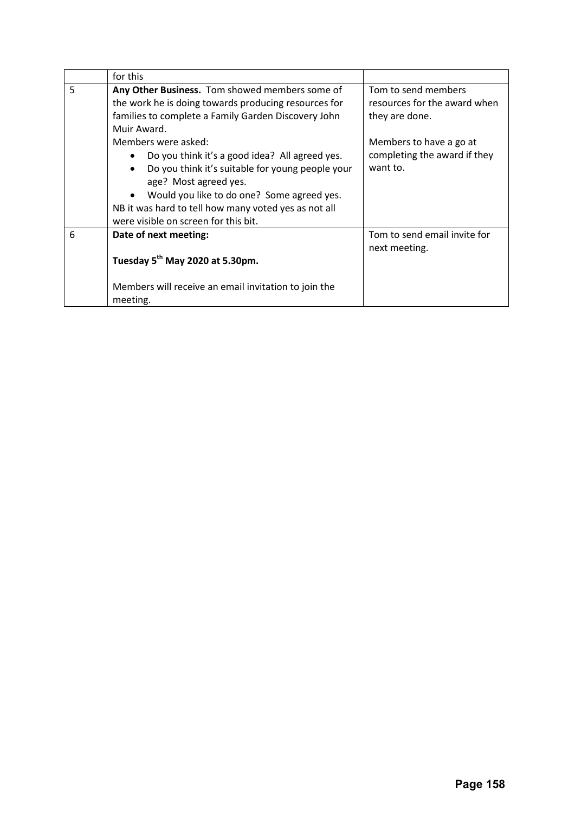|   | for this                                                                                                                                                                                                                                                                                                      |                                                                       |
|---|---------------------------------------------------------------------------------------------------------------------------------------------------------------------------------------------------------------------------------------------------------------------------------------------------------------|-----------------------------------------------------------------------|
| 5 | Any Other Business. Tom showed members some of<br>the work he is doing towards producing resources for<br>families to complete a Family Garden Discovery John<br>Muir Award.                                                                                                                                  | Tom to send members<br>resources for the award when<br>they are done. |
|   | Members were asked:<br>Do you think it's a good idea? All agreed yes.<br>Do you think it's suitable for young people your<br>$\bullet$<br>age? Most agreed yes.<br>Would you like to do one? Some agreed yes.<br>NB it was hard to tell how many voted yes as not all<br>were visible on screen for this bit. | Members to have a go at<br>completing the award if they<br>want to.   |
| 6 | Date of next meeting:<br>Tuesday 5 <sup>th</sup> May 2020 at 5.30pm.<br>Members will receive an email invitation to join the<br>meeting.                                                                                                                                                                      | Tom to send email invite for<br>next meeting.                         |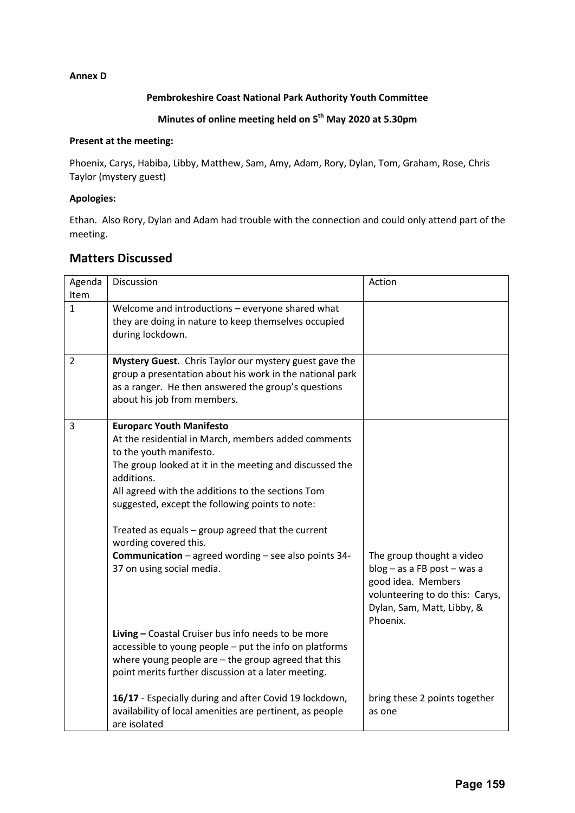### **Annex D**

### **Pembrokeshire Coast National Park Authority Youth Committee**

## **Minutes of online meeting held on 5th May 2020 at 5.30pm**

### **Present at the meeting:**

Phoenix, Carys, Habiba, Libby, Matthew, Sam, Amy, Adam, Rory, Dylan, Tom, Graham, Rose, Chris Taylor (mystery guest)

#### **Apologies:**

Ethan. Also Rory, Dylan and Adam had trouble with the connection and could only attend part of the meeting.

### **Matters Discussed**

| Agenda       | Discussion                                                               | Action                          |
|--------------|--------------------------------------------------------------------------|---------------------------------|
| Item         |                                                                          |                                 |
| $\mathbf{1}$ | Welcome and introductions - everyone shared what                         |                                 |
|              | they are doing in nature to keep themselves occupied<br>during lockdown. |                                 |
|              |                                                                          |                                 |
| 2            | Mystery Guest. Chris Taylor our mystery guest gave the                   |                                 |
|              | group a presentation about his work in the national park                 |                                 |
|              | as a ranger. He then answered the group's questions                      |                                 |
|              | about his job from members.                                              |                                 |
|              |                                                                          |                                 |
| 3            | <b>Europarc Youth Manifesto</b>                                          |                                 |
|              | At the residential in March, members added comments                      |                                 |
|              | to the youth manifesto.                                                  |                                 |
|              | The group looked at it in the meeting and discussed the<br>additions.    |                                 |
|              | All agreed with the additions to the sections Tom                        |                                 |
|              | suggested, except the following points to note:                          |                                 |
|              |                                                                          |                                 |
|              | Treated as equals - group agreed that the current                        |                                 |
|              | wording covered this.                                                    |                                 |
|              | Communication - agreed wording - see also points 34-                     | The group thought a video       |
|              | 37 on using social media.                                                | blog - as a FB post - was a     |
|              |                                                                          | good idea. Members              |
|              |                                                                          | volunteering to do this: Carys, |
|              |                                                                          | Dylan, Sam, Matt, Libby, &      |
|              |                                                                          | Phoenix.                        |
|              | Living - Coastal Cruiser bus info needs to be more                       |                                 |
|              | accessible to young people - put the info on platforms                   |                                 |
|              | where young people are - the group agreed that this                      |                                 |
|              | point merits further discussion at a later meeting.                      |                                 |
|              | 16/17 - Especially during and after Covid 19 lockdown,                   | bring these 2 points together   |
|              | availability of local amenities are pertinent, as people                 | as one                          |
|              | are isolated                                                             |                                 |